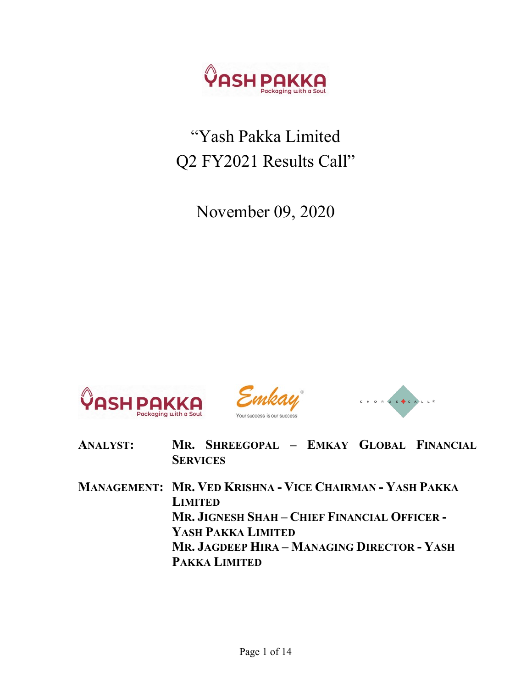

# "Yash Pakka Limited Q2 FY2021 Results Call"

November 09, 2020







- ANALYST: MR. SHREEGOPAL EMKAY GLOBAL FINANCIAL **SERVICES**
- MANAGEMENT: MR. VED KRISHNA VICE CHAIRMAN YASH PAKKA LIMITED MR. JIGNESH SHAH – CHIEF FINANCIAL OFFICER - YASH PAKKA LIMITED MR. JAGDEEP HIRA – MANAGING DIRECTOR - YASH PAKKA LIMITED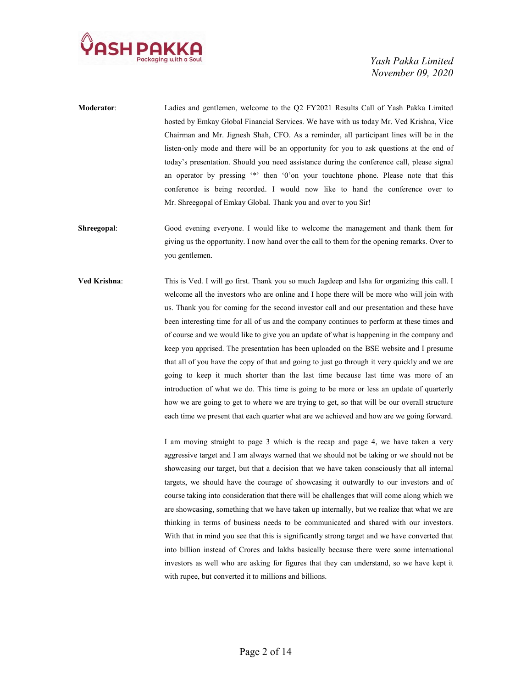

- Moderator: Ladies and gentlemen, welcome to the Q2 FY2021 Results Call of Yash Pakka Limited hosted by Emkay Global Financial Services. We have with us today Mr. Ved Krishna, Vice Chairman and Mr. Jignesh Shah, CFO. As a reminder, all participant lines will be in the listen-only mode and there will be an opportunity for you to ask questions at the end of today's presentation. Should you need assistance during the conference call, please signal an operator by pressing '\*' then '0'on your touchtone phone. Please note that this conference is being recorded. I would now like to hand the conference over to Mr. Shreegopal of Emkay Global. Thank you and over to you Sir!
- Shreegopal: Good evening everyone. I would like to welcome the management and thank them for giving us the opportunity. I now hand over the call to them for the opening remarks. Over to you gentlemen.
- Ved Krishna: This is Ved. I will go first. Thank you so much Jagdeep and Isha for organizing this call. I welcome all the investors who are online and I hope there will be more who will join with us. Thank you for coming for the second investor call and our presentation and these have been interesting time for all of us and the company continues to perform at these times and of course and we would like to give you an update of what is happening in the company and keep you apprised. The presentation has been uploaded on the BSE website and I presume that all of you have the copy of that and going to just go through it very quickly and we are going to keep it much shorter than the last time because last time was more of an introduction of what we do. This time is going to be more or less an update of quarterly how we are going to get to where we are trying to get, so that will be our overall structure each time we present that each quarter what are we achieved and how are we going forward.

I am moving straight to page 3 which is the recap and page 4, we have taken a very aggressive target and I am always warned that we should not be taking or we should not be showcasing our target, but that a decision that we have taken consciously that all internal targets, we should have the courage of showcasing it outwardly to our investors and of course taking into consideration that there will be challenges that will come along which we are showcasing, something that we have taken up internally, but we realize that what we are thinking in terms of business needs to be communicated and shared with our investors. With that in mind you see that this is significantly strong target and we have converted that into billion instead of Crores and lakhs basically because there were some international investors as well who are asking for figures that they can understand, so we have kept it with rupee, but converted it to millions and billions.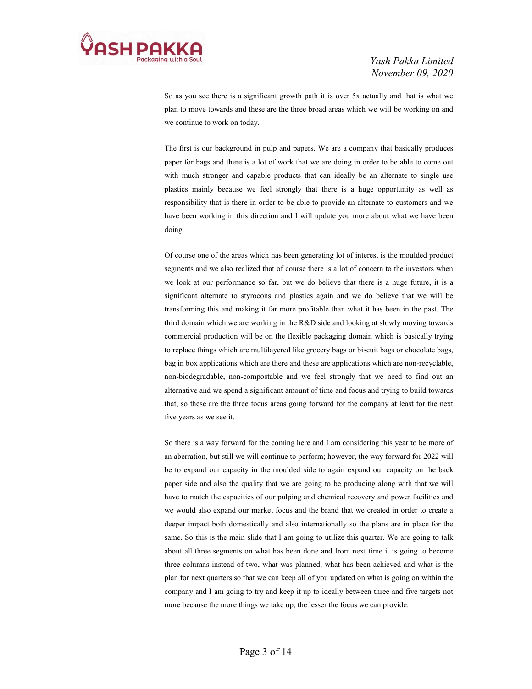

 So as you see there is a significant growth path it is over 5x actually and that is what we plan to move towards and these are the three broad areas which we will be working on and we continue to work on today.

The first is our background in pulp and papers. We are a company that basically produces paper for bags and there is a lot of work that we are doing in order to be able to come out with much stronger and capable products that can ideally be an alternate to single use plastics mainly because we feel strongly that there is a huge opportunity as well as responsibility that is there in order to be able to provide an alternate to customers and we have been working in this direction and I will update you more about what we have been doing.

 Of course one of the areas which has been generating lot of interest is the moulded product segments and we also realized that of course there is a lot of concern to the investors when we look at our performance so far, but we do believe that there is a huge future, it is a significant alternate to styrocons and plastics again and we do believe that we will be transforming this and making it far more profitable than what it has been in the past. The third domain which we are working in the R&D side and looking at slowly moving towards commercial production will be on the flexible packaging domain which is basically trying to replace things which are multilayered like grocery bags or biscuit bags or chocolate bags, bag in box applications which are there and these are applications which are non-recyclable, non-biodegradable, non-compostable and we feel strongly that we need to find out an alternative and we spend a significant amount of time and focus and trying to build towards that, so these are the three focus areas going forward for the company at least for the next five years as we see it.

 So there is a way forward for the coming here and I am considering this year to be more of an aberration, but still we will continue to perform; however, the way forward for 2022 will be to expand our capacity in the moulded side to again expand our capacity on the back paper side and also the quality that we are going to be producing along with that we will have to match the capacities of our pulping and chemical recovery and power facilities and we would also expand our market focus and the brand that we created in order to create a deeper impact both domestically and also internationally so the plans are in place for the same. So this is the main slide that I am going to utilize this quarter. We are going to talk about all three segments on what has been done and from next time it is going to become three columns instead of two, what was planned, what has been achieved and what is the plan for next quarters so that we can keep all of you updated on what is going on within the company and I am going to try and keep it up to ideally between three and five targets not more because the more things we take up, the lesser the focus we can provide.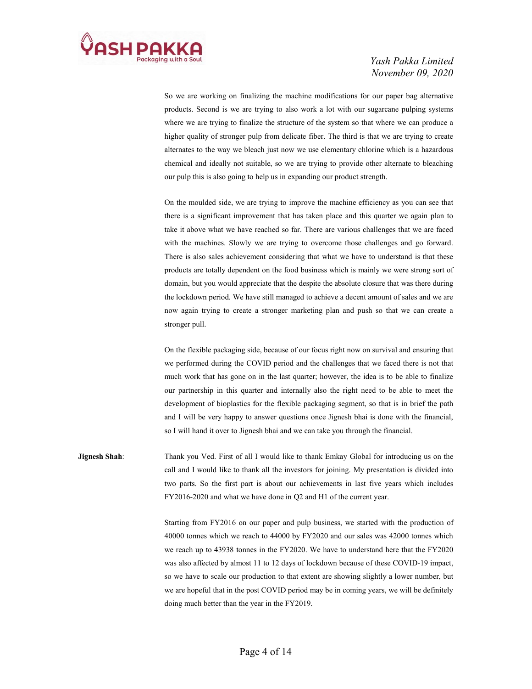

 So we are working on finalizing the machine modifications for our paper bag alternative products. Second is we are trying to also work a lot with our sugarcane pulping systems where we are trying to finalize the structure of the system so that where we can produce a higher quality of stronger pulp from delicate fiber. The third is that we are trying to create alternates to the way we bleach just now we use elementary chlorine which is a hazardous chemical and ideally not suitable, so we are trying to provide other alternate to bleaching our pulp this is also going to help us in expanding our product strength.

 On the moulded side, we are trying to improve the machine efficiency as you can see that there is a significant improvement that has taken place and this quarter we again plan to take it above what we have reached so far. There are various challenges that we are faced with the machines. Slowly we are trying to overcome those challenges and go forward. There is also sales achievement considering that what we have to understand is that these products are totally dependent on the food business which is mainly we were strong sort of domain, but you would appreciate that the despite the absolute closure that was there during the lockdown period. We have still managed to achieve a decent amount of sales and we are now again trying to create a stronger marketing plan and push so that we can create a stronger pull.

 On the flexible packaging side, because of our focus right now on survival and ensuring that we performed during the COVID period and the challenges that we faced there is not that much work that has gone on in the last quarter; however, the idea is to be able to finalize our partnership in this quarter and internally also the right need to be able to meet the development of bioplastics for the flexible packaging segment, so that is in brief the path and I will be very happy to answer questions once Jignesh bhai is done with the financial, so I will hand it over to Jignesh bhai and we can take you through the financial.

**Jignesh Shah:** Thank you Ved. First of all I would like to thank Emkay Global for introducing us on the call and I would like to thank all the investors for joining. My presentation is divided into two parts. So the first part is about our achievements in last five years which includes FY2016-2020 and what we have done in Q2 and H1 of the current year.

> Starting from FY2016 on our paper and pulp business, we started with the production of 40000 tonnes which we reach to 44000 by FY2020 and our sales was 42000 tonnes which we reach up to 43938 tonnes in the FY2020. We have to understand here that the FY2020 was also affected by almost 11 to 12 days of lockdown because of these COVID-19 impact, so we have to scale our production to that extent are showing slightly a lower number, but we are hopeful that in the post COVID period may be in coming years, we will be definitely doing much better than the year in the FY2019.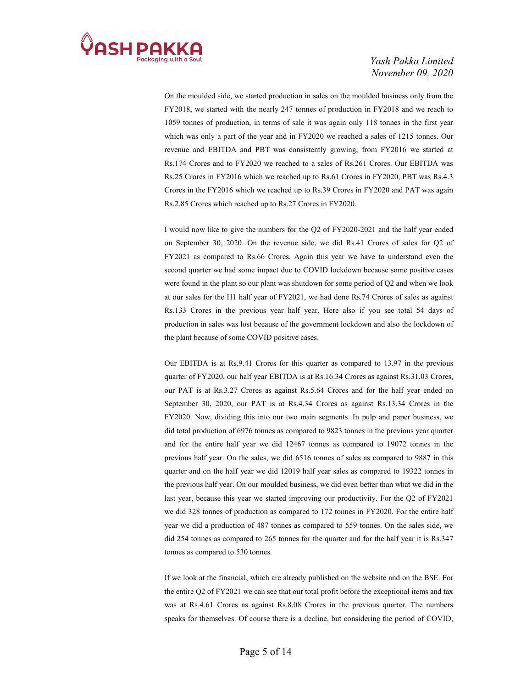

 On the moulded side, we started production in sales on the moulded business only from the FY2018, we started with the nearly 247 tonnes of production in FY2018 and we reach to 1059 tonnes of production, in terms of sale it was again only 118 tonnes in the first year which was only a part of the year and in FY2020 we reached a sales of 1215 tonnes. Our revenue and EBITDA and PBT was consistently growing, from FY2016 we started at Rs.174 Crores and to FY2020 we reached to a sales of Rs.261 Crores. Our EBITDA was Rs.25 Crores in FY2016 which we reached up to Rs.61 Crores in FY2020, PBT was Rs.4.3 Crores in the FY2016 which we reached up to Rs.39 Crores in FY2020 and PAT was again Rs.2.85 Crores which reached up to Rs.27 Crores in FY2020.

 I would now like to give the numbers for the Q2 of FY2020-2021 and the half year ended on September 30, 2020. On the revenue side, we did Rs.41 Crores of sales for Q2 of FY2021 as compared to Rs.66 Crores. Again this year we have to understand even the second quarter we had some impact due to COVID lockdown because some positive cases were found in the plant so our plant was shutdown for some period of Q2 and when we look at our sales for the H1 half year of FY2021, we had done Rs.74 Crores of sales as against Rs.133 Crores in the previous year half year. Here also if you see total 54 days of production in sales was lost because of the government lockdown and also the lockdown of the plant because of some COVID positive cases.

 Our EBITDA is at Rs.9.41 Crores for this quarter as compared to 13.97 in the previous quarter of FY2020, our half year EBITDA is at Rs.16.34 Crores as against Rs.31.03 Crores, our PAT is at Rs.3.27 Crores as against Rs.5.64 Crores and for the half year ended on September 30, 2020, our PAT is at Rs.4.34 Crores as against Rs.13.34 Crores in the FY2020. Now, dividing this into our two main segments. In pulp and paper business, we did total production of 6976 tonnes as compared to 9823 tonnes in the previous year quarter and for the entire half year we did 12467 tonnes as compared to 19072 tonnes in the previous half year. On the sales, we did 6516 tonnes of sales as compared to 9887 in this quarter and on the half year we did 12019 half year sales as compared to 19322 tonnes in the previous half year. On our moulded business, we did even better than what we did in the last year, because this year we started improving our productivity. For the Q2 of FY2021 we did 328 tonnes of production as compared to 172 tonnes in FY2020. For the entire half year we did a production of 487 tonnes as compared to 559 tonnes. On the sales side, we did 254 tonnes as compared to 265 tonnes for the quarter and for the half year it is Rs.347 tonnes as compared to 530 tonnes.

 If we look at the financial, which are already published on the website and on the BSE. For the entire Q2 of FY2021 we can see that our total profit before the exceptional items and tax was at Rs.4.61 Crores as against Rs.8.08 Crores in the previous quarter. The numbers speaks for themselves. Of course there is a decline, but considering the period of COVID,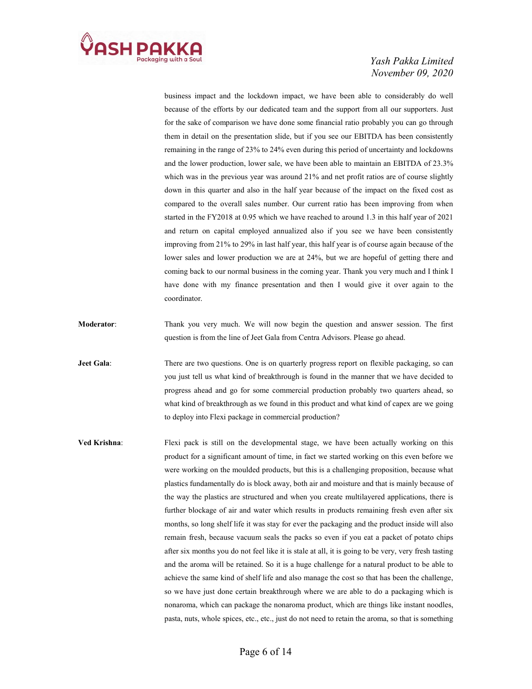

business impact and the lockdown impact, we have been able to considerably do well because of the efforts by our dedicated team and the support from all our supporters. Just for the sake of comparison we have done some financial ratio probably you can go through them in detail on the presentation slide, but if you see our EBITDA has been consistently remaining in the range of 23% to 24% even during this period of uncertainty and lockdowns and the lower production, lower sale, we have been able to maintain an EBITDA of 23.3% which was in the previous year was around 21% and net profit ratios are of course slightly down in this quarter and also in the half year because of the impact on the fixed cost as compared to the overall sales number. Our current ratio has been improving from when started in the FY2018 at 0.95 which we have reached to around 1.3 in this half year of 2021 and return on capital employed annualized also if you see we have been consistently improving from 21% to 29% in last half year, this half year is of course again because of the lower sales and lower production we are at 24%, but we are hopeful of getting there and coming back to our normal business in the coming year. Thank you very much and I think I have done with my finance presentation and then I would give it over again to the coordinator.

Moderator: Thank you very much. We will now begin the question and answer session. The first question is from the line of Jeet Gala from Centra Advisors. Please go ahead.

Jeet Gala: There are two questions. One is on quarterly progress report on flexible packaging, so can you just tell us what kind of breakthrough is found in the manner that we have decided to progress ahead and go for some commercial production probably two quarters ahead, so what kind of breakthrough as we found in this product and what kind of capex are we going to deploy into Flexi package in commercial production?

Ved Krishna: Flexi pack is still on the developmental stage, we have been actually working on this product for a significant amount of time, in fact we started working on this even before we were working on the moulded products, but this is a challenging proposition, because what plastics fundamentally do is block away, both air and moisture and that is mainly because of the way the plastics are structured and when you create multilayered applications, there is further blockage of air and water which results in products remaining fresh even after six months, so long shelf life it was stay for ever the packaging and the product inside will also remain fresh, because vacuum seals the packs so even if you eat a packet of potato chips after six months you do not feel like it is stale at all, it is going to be very, very fresh tasting and the aroma will be retained. So it is a huge challenge for a natural product to be able to achieve the same kind of shelf life and also manage the cost so that has been the challenge, so we have just done certain breakthrough where we are able to do a packaging which is nonaroma, which can package the nonaroma product, which are things like instant noodles, pasta, nuts, whole spices, etc., etc., just do not need to retain the aroma, so that is something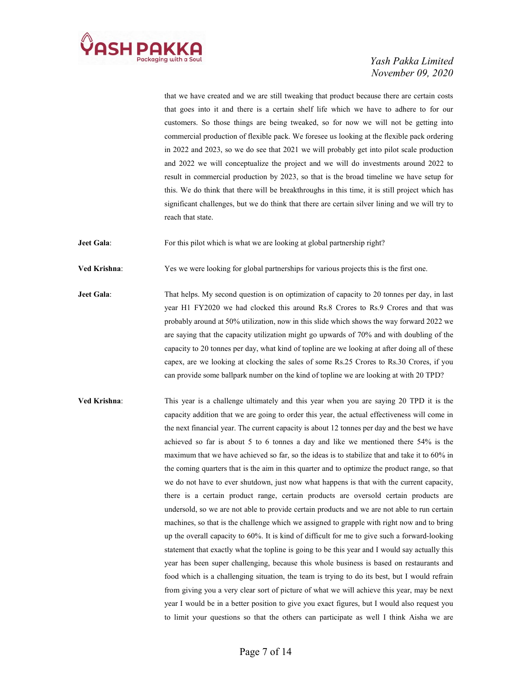

that we have created and we are still tweaking that product because there are certain costs that goes into it and there is a certain shelf life which we have to adhere to for our customers. So those things are being tweaked, so for now we will not be getting into commercial production of flexible pack. We foresee us looking at the flexible pack ordering in 2022 and 2023, so we do see that 2021 we will probably get into pilot scale production and 2022 we will conceptualize the project and we will do investments around 2022 to result in commercial production by 2023, so that is the broad timeline we have setup for this. We do think that there will be breakthroughs in this time, it is still project which has significant challenges, but we do think that there are certain silver lining and we will try to reach that state.

Jeet Gala: For this pilot which is what we are looking at global partnership right?

Ved Krishna: Yes we were looking for global partnerships for various projects this is the first one.

- **Jeet Gala:** That helps. My second question is on optimization of capacity to 20 tonnes per day, in last year H1 FY2020 we had clocked this around Rs.8 Crores to Rs.9 Crores and that was probably around at 50% utilization, now in this slide which shows the way forward 2022 we are saying that the capacity utilization might go upwards of 70% and with doubling of the capacity to 20 tonnes per day, what kind of topline are we looking at after doing all of these capex, are we looking at clocking the sales of some Rs.25 Crores to Rs.30 Crores, if you can provide some ballpark number on the kind of topline we are looking at with 20 TPD?
- Ved Krishna: This year is a challenge ultimately and this year when you are saying 20 TPD it is the capacity addition that we are going to order this year, the actual effectiveness will come in the next financial year. The current capacity is about 12 tonnes per day and the best we have achieved so far is about 5 to 6 tonnes a day and like we mentioned there 54% is the maximum that we have achieved so far, so the ideas is to stabilize that and take it to 60% in the coming quarters that is the aim in this quarter and to optimize the product range, so that we do not have to ever shutdown, just now what happens is that with the current capacity, there is a certain product range, certain products are oversold certain products are undersold, so we are not able to provide certain products and we are not able to run certain machines, so that is the challenge which we assigned to grapple with right now and to bring up the overall capacity to 60%. It is kind of difficult for me to give such a forward-looking statement that exactly what the topline is going to be this year and I would say actually this year has been super challenging, because this whole business is based on restaurants and food which is a challenging situation, the team is trying to do its best, but I would refrain from giving you a very clear sort of picture of what we will achieve this year, may be next year I would be in a better position to give you exact figures, but I would also request you to limit your questions so that the others can participate as well I think Aisha we are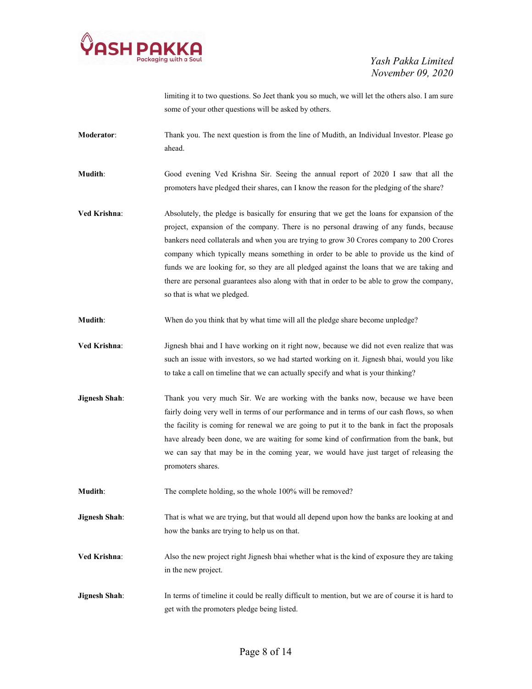

limiting it to two questions. So Jeet thank you so much, we will let the others also. I am sure some of your other questions will be asked by others.

Moderator: Thank you. The next question is from the line of Mudith, an Individual Investor. Please go ahead.

Mudith: Good evening Ved Krishna Sir. Seeing the annual report of 2020 I saw that all the promoters have pledged their shares, can I know the reason for the pledging of the share?

Ved Krishna: Absolutely, the pledge is basically for ensuring that we get the loans for expansion of the project, expansion of the company. There is no personal drawing of any funds, because bankers need collaterals and when you are trying to grow 30 Crores company to 200 Crores company which typically means something in order to be able to provide us the kind of funds we are looking for, so they are all pledged against the loans that we are taking and there are personal guarantees also along with that in order to be able to grow the company, so that is what we pledged.

Mudith: When do you think that by what time will all the pledge share become unpledge?

Ved Krishna: Jignesh bhai and I have working on it right now, because we did not even realize that was such an issue with investors, so we had started working on it. Jignesh bhai, would you like to take a call on timeline that we can actually specify and what is your thinking?

**Jignesh Shah:** Thank you very much Sir. We are working with the banks now, because we have been fairly doing very well in terms of our performance and in terms of our cash flows, so when the facility is coming for renewal we are going to put it to the bank in fact the proposals have already been done, we are waiting for some kind of confirmation from the bank, but we can say that may be in the coming year, we would have just target of releasing the promoters shares.

Mudith: The complete holding, so the whole 100% will be removed?

**Jignesh Shah:** That is what we are trying, but that would all depend upon how the banks are looking at and how the banks are trying to help us on that.

Ved Krishna: Also the new project right Jignesh bhai whether what is the kind of exposure they are taking in the new project.

Jignesh Shah: In terms of timeline it could be really difficult to mention, but we are of course it is hard to get with the promoters pledge being listed.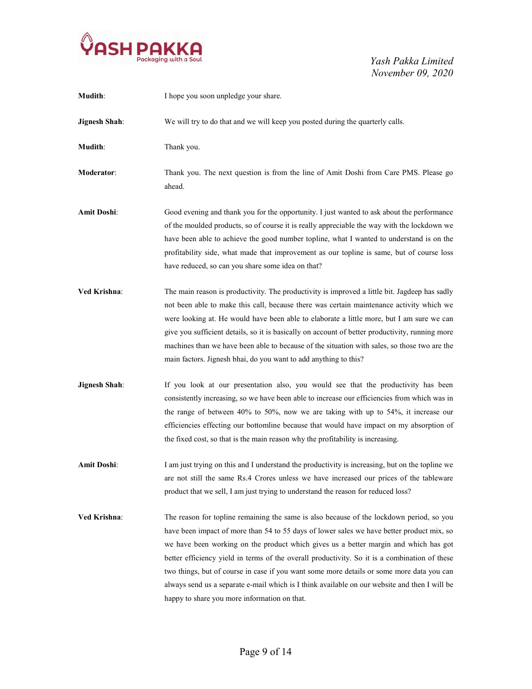

| Mudith:              | I hope you soon unpledge your share.                                                                                                                                                                                                                                                                                                                                                                                                                                                                                                                                                                                         |
|----------------------|------------------------------------------------------------------------------------------------------------------------------------------------------------------------------------------------------------------------------------------------------------------------------------------------------------------------------------------------------------------------------------------------------------------------------------------------------------------------------------------------------------------------------------------------------------------------------------------------------------------------------|
| <b>Jignesh Shah:</b> | We will try to do that and we will keep you posted during the quarterly calls.                                                                                                                                                                                                                                                                                                                                                                                                                                                                                                                                               |
| Mudith:              | Thank you.                                                                                                                                                                                                                                                                                                                                                                                                                                                                                                                                                                                                                   |
| Moderator:           | Thank you. The next question is from the line of Amit Doshi from Care PMS. Please go<br>ahead.                                                                                                                                                                                                                                                                                                                                                                                                                                                                                                                               |
| Amit Doshi:          | Good evening and thank you for the opportunity. I just wanted to ask about the performance<br>of the moulded products, so of course it is really appreciable the way with the lockdown we<br>have been able to achieve the good number topline, what I wanted to understand is on the<br>profitability side, what made that improvement as our topline is same, but of course loss<br>have reduced, so can you share some idea on that?                                                                                                                                                                                      |
| Ved Krishna:         | The main reason is productivity. The productivity is improved a little bit. Jagdeep has sadly<br>not been able to make this call, because there was certain maintenance activity which we<br>were looking at. He would have been able to elaborate a little more, but I am sure we can<br>give you sufficient details, so it is basically on account of better productivity, running more<br>machines than we have been able to because of the situation with sales, so those two are the<br>main factors. Jignesh bhai, do you want to add anything to this?                                                                |
| <b>Jignesh Shah:</b> | If you look at our presentation also, you would see that the productivity has been<br>consistently increasing, so we have been able to increase our efficiencies from which was in<br>the range of between $40\%$ to $50\%$ , now we are taking with up to $54\%$ , it increase our<br>efficiencies effecting our bottomline because that would have impact on my absorption of<br>the fixed cost, so that is the main reason why the profitability is increasing.                                                                                                                                                           |
| <b>Amit Doshi:</b>   | I am just trying on this and I understand the productivity is increasing, but on the topline we<br>are not still the same Rs.4 Crores unless we have increased our prices of the tableware<br>product that we sell, I am just trying to understand the reason for reduced loss?                                                                                                                                                                                                                                                                                                                                              |
| <b>Ved Krishna:</b>  | The reason for topline remaining the same is also because of the lockdown period, so you<br>have been impact of more than 54 to 55 days of lower sales we have better product mix, so<br>we have been working on the product which gives us a better margin and which has got<br>better efficiency yield in terms of the overall productivity. So it is a combination of these<br>two things, but of course in case if you want some more details or some more data you can<br>always send us a separate e-mail which is I think available on our website and then I will be<br>happy to share you more information on that. |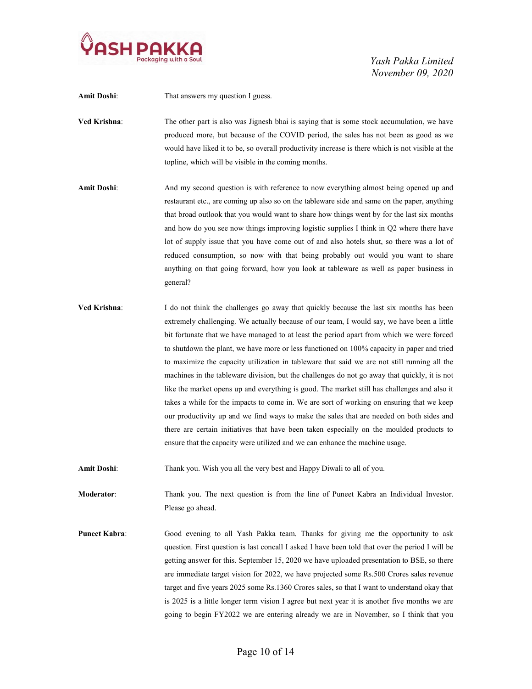

Amit Doshi: That answers my question I guess. Ved Krishna: The other part is also was Jignesh bhai is saying that is some stock accumulation, we have produced more, but because of the COVID period, the sales has not been as good as we would have liked it to be, so overall productivity increase is there which is not visible at the topline, which will be visible in the coming months.

- Amit Doshi: And my second question is with reference to now everything almost being opened up and restaurant etc., are coming up also so on the tableware side and same on the paper, anything that broad outlook that you would want to share how things went by for the last six months and how do you see now things improving logistic supplies I think in Q2 where there have lot of supply issue that you have come out of and also hotels shut, so there was a lot of reduced consumption, so now with that being probably out would you want to share anything on that going forward, how you look at tableware as well as paper business in general?
- Ved Krishna: I do not think the challenges go away that quickly because the last six months has been extremely challenging. We actually because of our team, I would say, we have been a little bit fortunate that we have managed to at least the period apart from which we were forced to shutdown the plant, we have more or less functioned on 100% capacity in paper and tried to maximize the capacity utilization in tableware that said we are not still running all the machines in the tableware division, but the challenges do not go away that quickly, it is not like the market opens up and everything is good. The market still has challenges and also it takes a while for the impacts to come in. We are sort of working on ensuring that we keep our productivity up and we find ways to make the sales that are needed on both sides and there are certain initiatives that have been taken especially on the moulded products to ensure that the capacity were utilized and we can enhance the machine usage.

Amit Doshi: Thank you. Wish you all the very best and Happy Diwali to all of you.

Moderator: Thank you. The next question is from the line of Puneet Kabra an Individual Investor. Please go ahead.

Puneet Kabra: Good evening to all Yash Pakka team. Thanks for giving me the opportunity to ask question. First question is last concall I asked I have been told that over the period I will be getting answer for this. September 15, 2020 we have uploaded presentation to BSE, so there are immediate target vision for 2022, we have projected some Rs.500 Crores sales revenue target and five years 2025 some Rs.1360 Crores sales, so that I want to understand okay that is 2025 is a little longer term vision I agree but next year it is another five months we are going to begin FY2022 we are entering already we are in November, so I think that you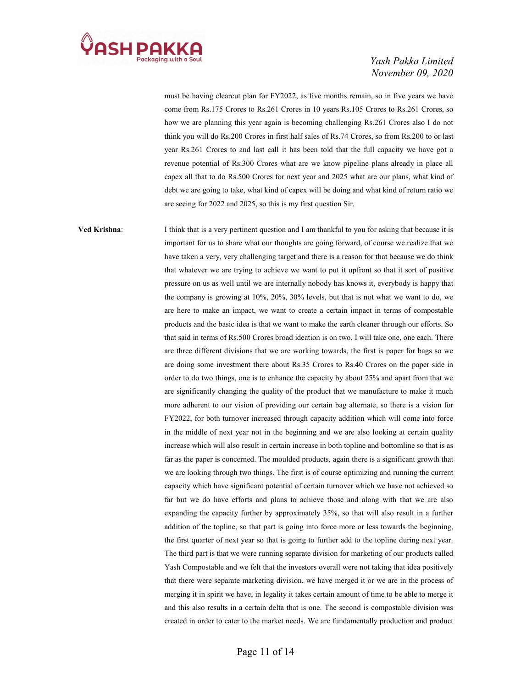

must be having clearcut plan for FY2022, as five months remain, so in five years we have come from Rs.175 Crores to Rs.261 Crores in 10 years Rs.105 Crores to Rs.261 Crores, so how we are planning this year again is becoming challenging Rs.261 Crores also I do not think you will do Rs.200 Crores in first half sales of Rs.74 Crores, so from Rs.200 to or last year Rs.261 Crores to and last call it has been told that the full capacity we have got a revenue potential of Rs.300 Crores what are we know pipeline plans already in place all capex all that to do Rs.500 Crores for next year and 2025 what are our plans, what kind of debt we are going to take, what kind of capex will be doing and what kind of return ratio we are seeing for 2022 and 2025, so this is my first question Sir.

Ved Krishna: I think that is a very pertinent question and I am thankful to you for asking that because it is important for us to share what our thoughts are going forward, of course we realize that we have taken a very, very challenging target and there is a reason for that because we do think that whatever we are trying to achieve we want to put it upfront so that it sort of positive pressure on us as well until we are internally nobody has knows it, everybody is happy that the company is growing at 10%, 20%, 30% levels, but that is not what we want to do, we are here to make an impact, we want to create a certain impact in terms of compostable products and the basic idea is that we want to make the earth cleaner through our efforts. So that said in terms of Rs.500 Crores broad ideation is on two, I will take one, one each. There are three different divisions that we are working towards, the first is paper for bags so we are doing some investment there about Rs.35 Crores to Rs.40 Crores on the paper side in order to do two things, one is to enhance the capacity by about 25% and apart from that we are significantly changing the quality of the product that we manufacture to make it much more adherent to our vision of providing our certain bag alternate, so there is a vision for FY2022, for both turnover increased through capacity addition which will come into force in the middle of next year not in the beginning and we are also looking at certain quality increase which will also result in certain increase in both topline and bottomline so that is as far as the paper is concerned. The moulded products, again there is a significant growth that we are looking through two things. The first is of course optimizing and running the current capacity which have significant potential of certain turnover which we have not achieved so far but we do have efforts and plans to achieve those and along with that we are also expanding the capacity further by approximately 35%, so that will also result in a further addition of the topline, so that part is going into force more or less towards the beginning, the first quarter of next year so that is going to further add to the topline during next year. The third part is that we were running separate division for marketing of our products called Yash Compostable and we felt that the investors overall were not taking that idea positively that there were separate marketing division, we have merged it or we are in the process of merging it in spirit we have, in legality it takes certain amount of time to be able to merge it and this also results in a certain delta that is one. The second is compostable division was created in order to cater to the market needs. We are fundamentally production and product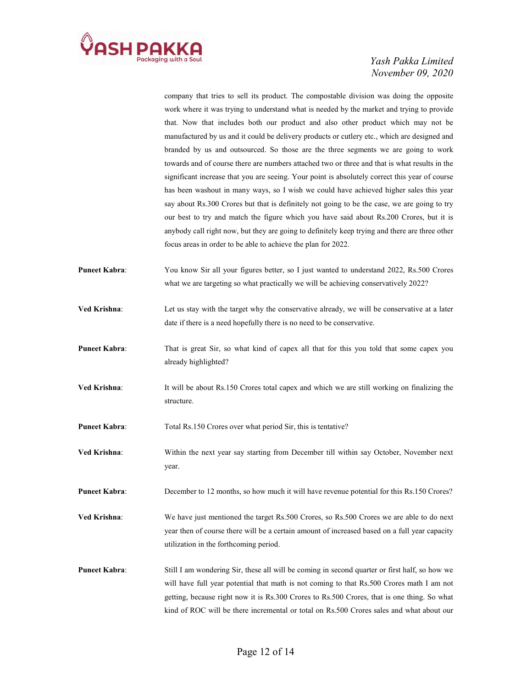

company that tries to sell its product. The compostable division was doing the opposite work where it was trying to understand what is needed by the market and trying to provide that. Now that includes both our product and also other product which may not be manufactured by us and it could be delivery products or cutlery etc., which are designed and branded by us and outsourced. So those are the three segments we are going to work towards and of course there are numbers attached two or three and that is what results in the significant increase that you are seeing. Your point is absolutely correct this year of course has been washout in many ways, so I wish we could have achieved higher sales this year say about Rs.300 Crores but that is definitely not going to be the case, we are going to try our best to try and match the figure which you have said about Rs.200 Crores, but it is anybody call right now, but they are going to definitely keep trying and there are three other focus areas in order to be able to achieve the plan for 2022.

- Puneet Kabra: You know Sir all your figures better, so I just wanted to understand 2022, Rs.500 Crores what we are targeting so what practically we will be achieving conservatively 2022?
- Ved Krishna: Let us stay with the target why the conservative already, we will be conservative at a later date if there is a need hopefully there is no need to be conservative.
- Puneet Kabra: That is great Sir, so what kind of capex all that for this you told that some capex you already highlighted?
- Ved Krishna: It will be about Rs.150 Crores total capex and which we are still working on finalizing the structure.
- Puneet Kabra: Total Rs.150 Crores over what period Sir, this is tentative?
- Ved Krishna: Within the next year say starting from December till within say October, November next year.

Puneet Kabra: December to 12 months, so how much it will have revenue potential for this Rs.150 Crores?

- Ved Krishna: We have just mentioned the target Rs.500 Crores, so Rs.500 Crores we are able to do next year then of course there will be a certain amount of increased based on a full year capacity utilization in the forthcoming period.
- Puneet Kabra: Still I am wondering Sir, these all will be coming in second quarter or first half, so how we will have full year potential that math is not coming to that Rs.500 Crores math I am not getting, because right now it is Rs.300 Crores to Rs.500 Crores, that is one thing. So what kind of ROC will be there incremental or total on Rs.500 Crores sales and what about our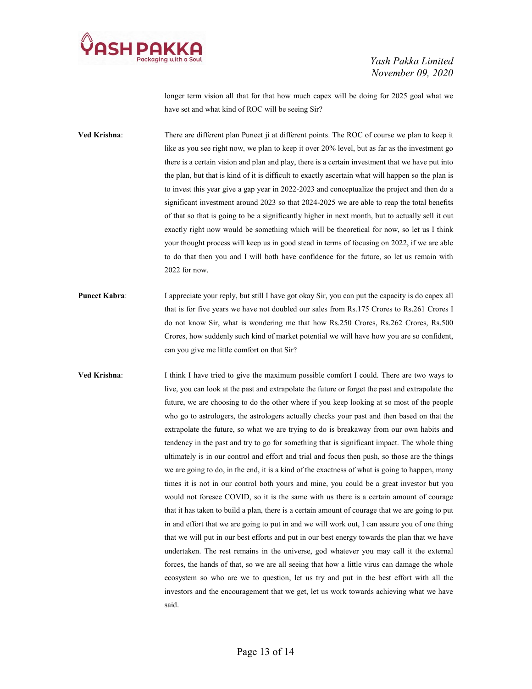

longer term vision all that for that how much capex will be doing for 2025 goal what we have set and what kind of ROC will be seeing Sir?

- Ved Krishna: There are different plan Puneet ji at different points. The ROC of course we plan to keep it like as you see right now, we plan to keep it over 20% level, but as far as the investment go there is a certain vision and plan and play, there is a certain investment that we have put into the plan, but that is kind of it is difficult to exactly ascertain what will happen so the plan is to invest this year give a gap year in 2022-2023 and conceptualize the project and then do a significant investment around 2023 so that 2024-2025 we are able to reap the total benefits of that so that is going to be a significantly higher in next month, but to actually sell it out exactly right now would be something which will be theoretical for now, so let us I think your thought process will keep us in good stead in terms of focusing on 2022, if we are able to do that then you and I will both have confidence for the future, so let us remain with 2022 for now.
- Puneet Kabra: I appreciate your reply, but still I have got okay Sir, you can put the capacity is do capex all that is for five years we have not doubled our sales from Rs.175 Crores to Rs.261 Crores I do not know Sir, what is wondering me that how Rs.250 Crores, Rs.262 Crores, Rs.500 Crores, how suddenly such kind of market potential we will have how you are so confident, can you give me little comfort on that Sir?
- Ved Krishna: I think I have tried to give the maximum possible comfort I could. There are two ways to live, you can look at the past and extrapolate the future or forget the past and extrapolate the future, we are choosing to do the other where if you keep looking at so most of the people who go to astrologers, the astrologers actually checks your past and then based on that the extrapolate the future, so what we are trying to do is breakaway from our own habits and tendency in the past and try to go for something that is significant impact. The whole thing ultimately is in our control and effort and trial and focus then push, so those are the things we are going to do, in the end, it is a kind of the exactness of what is going to happen, many times it is not in our control both yours and mine, you could be a great investor but you would not foresee COVID, so it is the same with us there is a certain amount of courage that it has taken to build a plan, there is a certain amount of courage that we are going to put in and effort that we are going to put in and we will work out, I can assure you of one thing that we will put in our best efforts and put in our best energy towards the plan that we have undertaken. The rest remains in the universe, god whatever you may call it the external forces, the hands of that, so we are all seeing that how a little virus can damage the whole ecosystem so who are we to question, let us try and put in the best effort with all the investors and the encouragement that we get, let us work towards achieving what we have said.